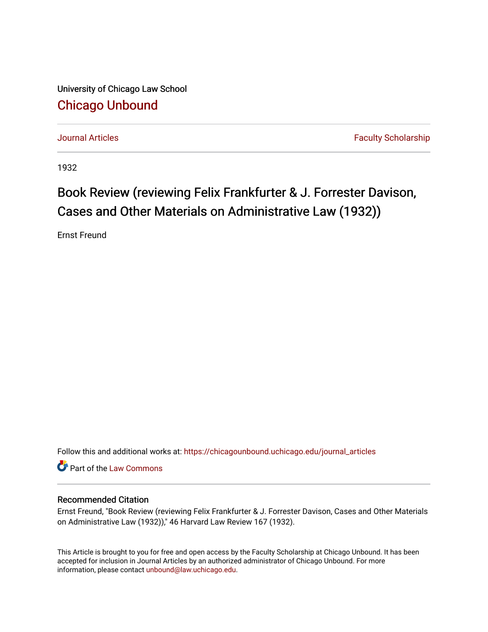University of Chicago Law School [Chicago Unbound](https://chicagounbound.uchicago.edu/)

[Journal Articles](https://chicagounbound.uchicago.edu/journal_articles) **Faculty Scholarship Journal Articles** 

1932

## Book Review (reviewing Felix Frankfurter & J. Forrester Davison, Cases and Other Materials on Administrative Law (1932))

Ernst Freund

Follow this and additional works at: [https://chicagounbound.uchicago.edu/journal\\_articles](https://chicagounbound.uchicago.edu/journal_articles?utm_source=chicagounbound.uchicago.edu%2Fjournal_articles%2F7794&utm_medium=PDF&utm_campaign=PDFCoverPages) 

Part of the [Law Commons](http://network.bepress.com/hgg/discipline/578?utm_source=chicagounbound.uchicago.edu%2Fjournal_articles%2F7794&utm_medium=PDF&utm_campaign=PDFCoverPages)

## Recommended Citation

Ernst Freund, "Book Review (reviewing Felix Frankfurter & J. Forrester Davison, Cases and Other Materials on Administrative Law (1932))," 46 Harvard Law Review 167 (1932).

This Article is brought to you for free and open access by the Faculty Scholarship at Chicago Unbound. It has been accepted for inclusion in Journal Articles by an authorized administrator of Chicago Unbound. For more information, please contact [unbound@law.uchicago.edu](mailto:unbound@law.uchicago.edu).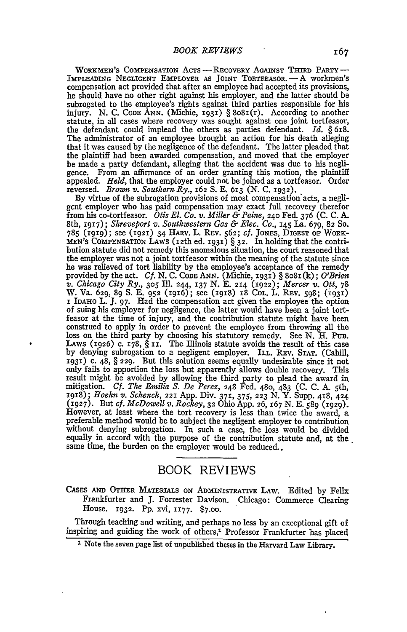WORKMEN'S COMPENSATION AcTs - REcOvERY **AGAINST THIRD** PARTY **-** IMPLEADING NEGLIGENT EMPLOYER AS JOINT TORTFEASOR. **-A** workmen's compensation act provided that after an employee had accepted its provisions, he should have no other right against his employer, and the latter should be subrogated to the employee's rights against third parties responsible for his injury. N. C. CODE ANN. (Michie, 1931)  $\S 8081(r)$ . According to another statute, in all cases where recovery was sought against one joint tortfeasor, the defendant could implead the others as parties defendant. *Id.* § 618. The administrator of an employee brought an action for his death alleging that it was caused by the negligence of the defendant. The latter pleaded that the plaintiff had been awarded compensation, and moved that the employer be made a party defendant, alleging that the accident was due to his negligence. From an affirmance of an order granting this motion, the plaintiff appealed. *Held,* that the employer could not be joined as a tortfeasor. Order reversed. *Brown v. Southern Ry.,* 162 **S.** E. 613 (N. C. 1932).

By virtue of the subrogation provisions of most compensation acts, a negligcnt employer who has paid compensation may exact full recovery therefor from his co-tortfeasor. *Otis El. Co. v. Miller & Paine,* **240** Fed. 376 (C. C. A. 8th, 1917); *Shreveport v. Southwestern Gas & Elec. Co.,* 145 La. 679, 82 So.  $785$  (1919); see (1921) 34 HARV. L. REV. 562; cf. JONES, DIGEST OF WORK-MEN'S COMPENSATION LAWS (12th ed. **I93I)** § 32. In holding that the contribution statute did not remedy this anomalous situation, the court reasoned that the employer was not a joint tortfeasor within the meaning of the statute since he was relieved of tort liability by the employee's acceptance of the remedy provided by the act. *Cf.* N. C. CODE ANN. (Michie, 1931) § 8o81(k); *O'Brien v. Chicago City Ry., 305* Ill. 244, **137** N. **E.** 214 (1922); *Mercer v. Ott,* <sup>78</sup> W. Va. 629, 89 S. E. 952 (1916); see (1918) 18 COL. L. REV. 598; (1931)<br>I IDAHO L. J. 97. Had the compensation act given the employee the option I IDAHO L. J. 97. Had the compensation act given the employee the option of suing his employer for negligence, the latter would have been a joint tortfeasor at the time of injury, and the contribution statute might have been construed to apply in order to prevent the employee from throwing all the loss on the third party **by** choosing his statutory remedy. See N. H. PUB. LAWS (1926) c. 178,  $\S$  II. The Illinois statute avoids the result of this case by denying subrogation to a negligent employer. ILL. REV. **STAT.** (Cahill, **1931)** c. 48, § 229. But this solution seems equally undesirable since it not only fails to apportion the loss but apparently allows double recovery. This result might be avoided by allowing the third party to plead the award in mitigation. *Cf. The Emilia S. De Perez,* 248 Fed. 480, 483 (C. C. A. 5th, 1918); *Hoehn v. Schenck,* **221** App. Div. 371, 375, **223** N. Y. Supp. 418, 424 (1927). But *cf. McDowell v. Rockey,* **32** Ohio App. 26, 167 N. E. 589 (1929). However, at least where the tort recovery is less than twice the award, a preferable method would be to subject the negligent employer to contribution without denying subrogation. In such a case, the loss would be divided equally in accord with the purpose of the contribution statute and, at the. same time, the burden on the employer would be reduced..

## BOOK REVIEWS

CASES AND OTHER MATERIALS ON ADMINISTRATIVE LAW. Edited by Felix Frankfurter and **J.** Forrester Davison. Chicago: Commerce Clearing House. 1932. Pp. xvi, 1177. **\$7.00.**

Through teaching and writing, and perhaps no less by an exceptional gift of inspiring and guiding the work of others,<sup>1</sup> Professor Frankfurter has placed

**<sup>1</sup>** Note the seven page list of unpublished theses in the Harvard Law Library.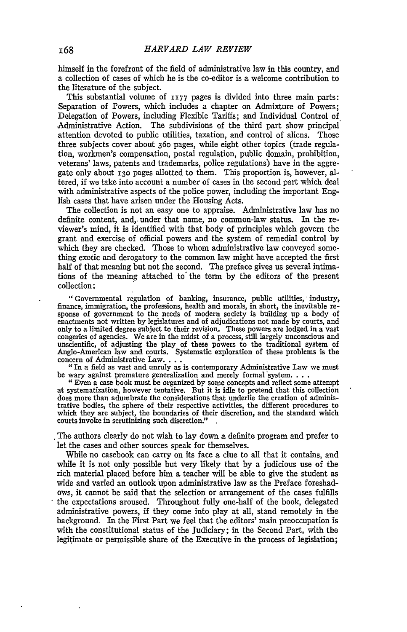himself in the forefront of the field of administrative law in this country, and a collection of cases of which he is the co-editor is a welcome contribution to the literature of the subject.

This substantial volume of **1177** pages is divided into three main parts: Separation of Powers, which includes a chapter on Admixture of Powers; Delegation of Powers, including Flexible Tariffs; and Individual Control of Administrative Action. The subdivisions of the third part show principal attention devoted to public utilities, taxation, and control of aliens. Those three subjects cover about 36o pages, while eight other topics (trade regulation, workmen's compensation, postal regulation, public domain, prohibition, veterans' laws, patents and trademarks, police regulations) have in the aggregate only about **130** pages allotted to them. This proportion is, however, altered, if we take into account a number of cases in the second part which deal with administrative aspects of the police power, including the important English cases that have arisen under the Housing Acts.

The collection is not an easy one to appraise. Administrative law has no definite content, and, under that name, no common-law status. In the reviewer's mind, it is identified with that body of principles which govern the grant and exercise of official powers and the system of remedial control by which they are checked. Those to whom administrative law conveyed something exotic and derogatory to the common law might have accepted the first half of that meaning but not the second. The preface gives us several intimations of the meaning attached to the term by the editors of the present collection:

"Governmental regulation of banking, insurance, public utilities, industry, finance, immigration, the professions, health and morals, in short, the inevitable reenactments not written **by** legislatures and of adjudications not made by courts, and only to a limited degree subject to their revision. These powers are lodged in a vast congeries of agencies. We are in the midst of a process, still largely unconscious and unscientific, of adjusting the play of these powers to the traditional system of Anglo-American law and courts. Systematic exploration of these problems is the concern of Administrative Law  $\ldots$  "In a field as vast and unruly as is contemporary Administrative Law we must

be wary against premature generalization and merely formal system. . . . . "<br>**Even a case book must be organized by some concepts and reflect some attempt** 

at systematization, however tentative. But it is idle to pretend that this collection does more than adumbrate the considerations that underlie the creation of administrative bodies, the sphere of their respective activities, the different procedures to which they are subject, the boundaries of their discretion, and the standard which courts invoke in scrutinizing such discretion." **,**

The authors clearly do not wish to lay down a definite program and prefer to let the cases and other sources speak for themselves.

While no casebook can carry on its face a clue to all that it contains, and while it is not only possible but very likely that by a judicious use of the rich material placed before him a teacher will be able to give the student as wide and varied an outlook upon administrative law as the Preface foreshadows, it cannot be said that the selection or arrangement of the cases fulfills the expectations aroused. Throughout fully one-half of the book, delegated administrative powers, if they come into play at all, stand remotely in the background. In the First Part we feel that the editors' main preoccupation is with the constitutional status of the Judiciary; in the Second Part, with the legitimate or permissible share of the Executive in the process of legislation;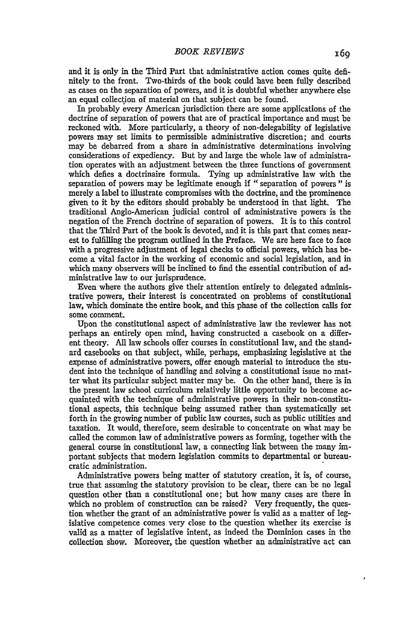and it is only in the Third Part that administrative action comes quite definitely to the front. Two-thirds of the book could have been fully described as cases on the separation of powers, and it is doubtful whether anywhere else an equal collection of material on that subject can be found.

In probably every American jurisdiction there are some applications of the doctrine of separation of powers that are of practical importance and must be reckoned with. More particularly, a theory of non-delegability of legislative powers may set limits to permissible administrative discretion; and courts may be debarred from a share in administrative determinations involving considerations of expediency. But by and large the whole law of administration operates with an adjustment between the three functions of government which defies a doctrinaire formula. Tying up administrative law with the separation of powers may be legitimate enough if "separation of powers **"** is merely a label to illustrate compromises with the doctrine, and the prominence given to it by the editors should probably be understood in that light. The traditional Anglo-American judicial control of administrative powers is the negation of the French doctrine of separation of powers. It is to this control that the Third Part of the book is devoted, and it is this part that comes nearest to fulfilling the program outlined in the Preface. We are here face to face with a progressive adjustment of legal checks to official powers, which has become a vital factor in the working of economic and social legislation, and in which many observers will be inclined to find the essential contribution of administrative law to our jurisprudence.

Even where the authors give their attention entirely to delegated administrative powers, their interest is concentrated on problems of constitutional law, which dominate the entire book, and this phase of the collection calls for some comment.

Upon the constitutional aspect of administrative law the reviewer has not perhaps an entirely open mind, having constructed a casebook on a different theory. **All** law schools offer courses in constitutional law, and the standard casebooks on that subject, while, perhaps, emphasizing legislative at the expense of administrative powers, offer enough material to introduce the student into the technique of handling and solving a constitutional issue no matter what its particular subject matter may be. On the other hand, there is in the present law school curriculum relatively little opportunity to become acquainted with the technique of administrative powers in their non-constitutional aspects, this technique being assumed rather than systematically set forth in the growing number of public law courses, such as public utilities and taxation. It would, therefore, seem desirable to concentrate on what may be called the common law of administrative powers as forming, together with the general course in constitutional law, a connecting link between the many important subjects that modem legislation commits to departmental or bureaucratic administration.

Administrative powers being matter of statutory creation, it is, of course, true that assuming the statutory provision to be clear, there can be no legal question other than a constitutional one; but how many cases are there in which no problem of construction can be raised? Very frequently, the question whether the grant of an administrative power is valid as a matter of legislative competence comes very close to the question whether its exercise is valid as a matter of legislative intent, as indeed the Dominion cases in the collection show. Moreover, the question whether an administrative act can

 $\lambda$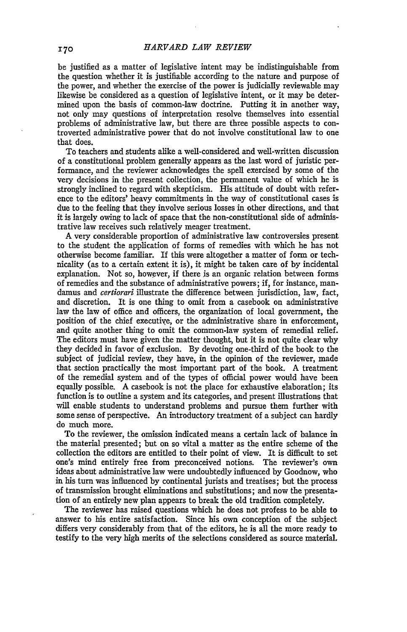be justified as a matter of legislative intent may be indistinguishable from the question whether it is justifiable according to the nature and purpose of the power, and whether the exercise of the power is judicially reviewable may likewise be considered as a question of legislative intent, or it may be determined upon the basis of common-law doctrine. Putting it in another way, not only may questions of interpretation resolve themselves into essential problems of administrative law, but there are three possible aspects to controverted administrative power that do not involve constitutional law to one that does.

To teachers and students alike a well-considered and well-written discussion of a constitutional problem generally appears as the last word of juristic performance, and the reviewer acknowledges the spell exercised by some of the very decisions in the present collection, the permanent value of which he is strongly inclined to regard with skepticism. His attitude of doubt with reference to the editors' heavy commitments in the way of constitutional cases is due to the feeling that they involve serious losses in other directions, and that it is largely owing to lack of space that the non-constitutional side of administrative law receives such relatively meager treatment.

A very considerable proportion of administrative law controversies present to the student the application of forms of remedies with which he has not otherwise become familiar. If this were altogether a matter of form or technicality (as to a certain extent it is), it might be taken care of by incidental explanation. Not so, however, if there is an organic relation between forms of remedies and the substance of administrative powers; if, for instance, mandamus and *certiorari* illustrate the difference between jurisdiction, law, fact, and discretion. It is one thing to omit from a casebook on administrative law the law of office and officers, the organization of local government, the position of the chief executive, or the administrative share in enforcement, and quite another thing to omit the common-law system of remedial relief. The editors must have given the matter thought, but it is not quite clear why they decided in favor of exclusion. By devoting one-third of the book to the subject of judicial review, they have, in the opinion of the reviewer, made that section practically the most important part of the book. A treatment of the remedial system and of the types of official power would have been equally possible. A casebook is not the place for exhaustive elaboration; its function is to outline a system and its categories, and present illustrations that will enable students to understand problems and pursue them further with some sense of perspective. An introductory treatment of a subject can hardly do much more.

To the reviewer, the omission indicated means a certain lack of balance in the material presented; but on so vital a matter as the entire scheme of the collection the editors are entitled to their point of view. It is difficult to set one's mind entirely free from preconceived notions. The reviewer's own ideas about administrative law were undoubtedly influenced by Goodnow, who in his turn was influenced by continental jurists and treatises; but the process of transmission brought eliminations and substitutions; and now the presentation of an entirely new plan appears to break the old tradition completely.

The reviewer has raised questions which he does not profess to be able to answer to his entire satisfaction. Since his own conception of the subject differs very considerably from that of the editors, he is all the more ready to testify to the very high merits of the selections considered as source material,